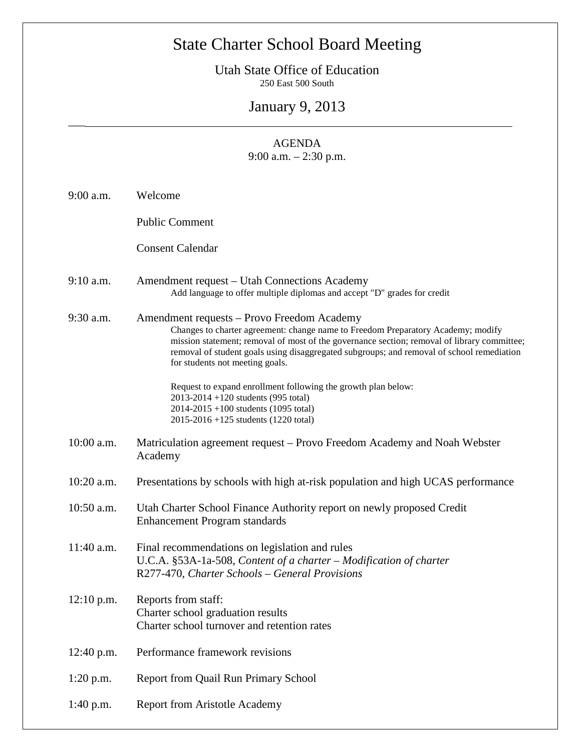## State Charter School Board Meeting

Utah State Office of Education 250 East 500 South

January 9, 2013

 $\overline{\phantom{a}}$ 

## AGENDA 9:00 a.m. – 2:30 p.m.

| $9:00$ a.m.  | Welcome                                                                                                                                                                                                                                                                                                                                                       |
|--------------|---------------------------------------------------------------------------------------------------------------------------------------------------------------------------------------------------------------------------------------------------------------------------------------------------------------------------------------------------------------|
|              | <b>Public Comment</b>                                                                                                                                                                                                                                                                                                                                         |
|              | <b>Consent Calendar</b>                                                                                                                                                                                                                                                                                                                                       |
| $9:10$ a.m.  | Amendment request – Utah Connections Academy<br>Add language to offer multiple diplomas and accept "D" grades for credit                                                                                                                                                                                                                                      |
| 9:30 a.m.    | Amendment requests - Provo Freedom Academy<br>Changes to charter agreement: change name to Freedom Preparatory Academy; modify<br>mission statement; removal of most of the governance section; removal of library committee;<br>removal of student goals using disaggregated subgroups; and removal of school remediation<br>for students not meeting goals. |
|              | Request to expand enrollment following the growth plan below:<br>2013-2014 +120 students (995 total)<br>2014-2015 +100 students (1095 total)<br>2015-2016 +125 students (1220 total)                                                                                                                                                                          |
| 10:00 a.m.   | Matriculation agreement request – Provo Freedom Academy and Noah Webster<br>Academy                                                                                                                                                                                                                                                                           |
| 10:20 a.m.   | Presentations by schools with high at-risk population and high UCAS performance                                                                                                                                                                                                                                                                               |
| 10:50 a.m.   | Utah Charter School Finance Authority report on newly proposed Credit<br><b>Enhancement Program standards</b>                                                                                                                                                                                                                                                 |
| 11:40 a.m.   | Final recommendations on legislation and rules<br>U.C.A. §53A-1a-508, Content of a charter - Modification of charter<br>R277-470, Charter Schools - General Provisions                                                                                                                                                                                        |
| $12:10$ p.m. | Reports from staff:<br>Charter school graduation results<br>Charter school turnover and retention rates                                                                                                                                                                                                                                                       |
| 12:40 p.m.   | Performance framework revisions                                                                                                                                                                                                                                                                                                                               |
| $1:20$ p.m.  | Report from Quail Run Primary School                                                                                                                                                                                                                                                                                                                          |
| $1:40$ p.m.  | <b>Report from Aristotle Academy</b>                                                                                                                                                                                                                                                                                                                          |